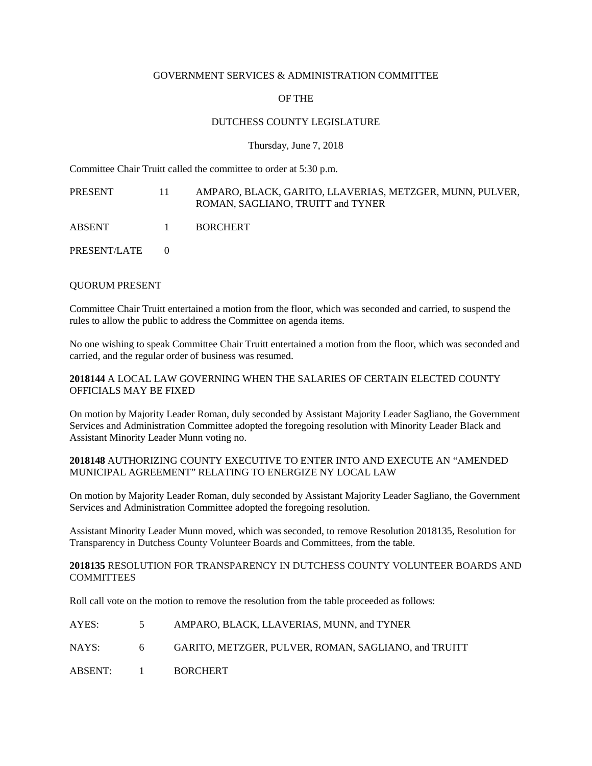#### GOVERNMENT SERVICES & ADMINISTRATION COMMITTEE

# OF THE

# DUTCHESS COUNTY LEGISLATURE

Thursday, June 7, 2018

Committee Chair Truitt called the committee to order at 5:30 p.m.

PRESENT 11 AMPARO, BLACK, GARITO, LLAVERIAS, METZGER, MUNN, PULVER, ROMAN, SAGLIANO, TRUITT and TYNER

ABSENT 1 BORCHERT

PRESENT/LATE 0

### QUORUM PRESENT

Committee Chair Truitt entertained a motion from the floor, which was seconded and carried, to suspend the rules to allow the public to address the Committee on agenda items.

No one wishing to speak Committee Chair Truitt entertained a motion from the floor, which was seconded and carried, and the regular order of business was resumed.

#### **2018144** A LOCAL LAW GOVERNING WHEN THE SALARIES OF CERTAIN ELECTED COUNTY OFFICIALS MAY BE FIXED

On motion by Majority Leader Roman, duly seconded by Assistant Majority Leader Sagliano, the Government Services and Administration Committee adopted the foregoing resolution with Minority Leader Black and Assistant Minority Leader Munn voting no.

### **2018148** AUTHORIZING COUNTY EXECUTIVE TO ENTER INTO AND EXECUTE AN "AMENDED MUNICIPAL AGREEMENT" RELATING TO ENERGIZE NY LOCAL LAW

On motion by Majority Leader Roman, duly seconded by Assistant Majority Leader Sagliano, the Government Services and Administration Committee adopted the foregoing resolution.

Assistant Minority Leader Munn moved, which was seconded, to remove Resolution 2018135, Resolution for Transparency in Dutchess County Volunteer Boards and Committees, from the table.

## **2018135** RESOLUTION FOR TRANSPARENCY IN DUTCHESS COUNTY VOLUNTEER BOARDS AND **COMMITTEES**

Roll call vote on the motion to remove the resolution from the table proceeded as follows:

| AYES:     | $\mathcal{L}$ | AMPARO, BLACK, LLAVERIAS, MUNN, and TYNER            |
|-----------|---------------|------------------------------------------------------|
| NAYS:     | 6             | GARITO, METZGER, PULVER, ROMAN, SAGLIANO, and TRUITT |
| ABSENT: 1 |               | <b>BORCHERT</b>                                      |